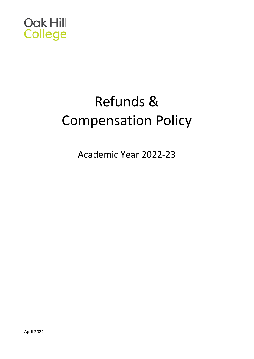

# Refunds & Compensation Policy

Academic Year 2022-23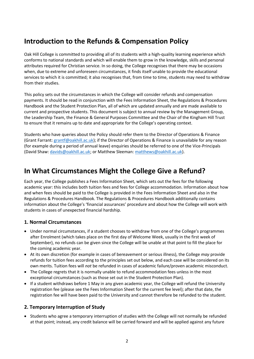### **Introduction to the Refunds & Compensation Policy**

Oak Hill College is committed to providing all of its students with a high-quality learning experience which conforms to national standards and which will enable them to grow in the knowledge, skills and personal attributes required for Christian service. In so doing, the College recognises that there may be occasions when, due to extreme and unforeseen circumstances, it finds itself unable to provide the educational services to which it is committed; it also recognises that, from time to time, students may need to withdraw from their studies.

This policy sets out the circumstances in which the College will consider refunds and compensation payments. It should be read in conjunction with the Fees Information Sheet, the Regulations & Procedures Handbook and the Student Protection Plan, all of which are updated annually and are made available to current and prospective students. This document is subject to annual review by the Management Group, the Leadership Team, the Finance & General Purposes Committee and the Chair of the Kingham Hill Trust to ensure that it remains up to date and appropriate for the College's operating context.

Students who have queries about the Policy should refer them to the Director of Operations & Finance (Grant Farrant: [grantf@oakhill.ac.uk\)](mailto:grantf@oakhill.ac.uk); if the Director of Operations & Finance is unavailable for any reason (for example during a period of annual leave) enquiries should be referred to one of the Vice-Principals (David Shaw: [davids@oakhill.ac.uk;](mailto:davids@oakhill.ac.uk) or Matthew Sleeman: [matthews@oakhill.ac.uk\)](mailto:matthews@oakhill.ac.uk).

## **In What Circumstances Might the College Give a Refund?**

Each year, the College publishes a Fees Information Sheet, which sets out the fees for the following academic year: this includes both tuition fees and fees for College accommodation. Information about how and when fees should be paid to the College is provided in the Fees Information Sheet and also in the Regulations & Procedures Handbook. The Regulations & Procedures Handbook additionally contains information about the College's 'financial assurances' procedure and about how the College will work with students in cases of unexpected financial hardship.

#### **1. Normal Circumstances**

- Under normal circumstances, if a student chooses to withdraw from one of the College's programmes after Enrolment (which takes place on the first day of Welcome Week, usually in the first week of September), no refunds can be given since the College will be unable at that point to fill the place for the coming academic year.
- At its own discretion (for example in cases of bereavement or serious illness), the College *may* provide refunds for tuition fees according to the principles set out below, and each case will be considered on its own merits. Tuition fees will *not* be refunded in cases of academic failure/proven academic misconduct.
- The College regrets that it is normally unable to refund accommodation fees unless in the most exceptional circumstances (such as those set out in the Student Protection Plan).
- If a student withdraws before 1 May in any given academic year, the College will refund the University registration fee (please see the Fees Information Sheet for the current fee level); after that date, the registration fee will have been paid to the University and cannot therefore be refunded to the student.

#### **2. Temporary Interruption of Study**

• Students who agree a temporary interruption of studies with the College will not normally be refunded at that point; instead, any credit balance will be carried forward and will be applied against any future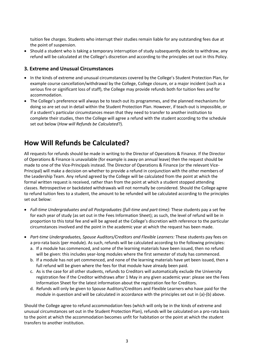tuition fee charges. Students who interrupt their studies remain liable for any outstanding fees due at the point of suspension.

• Should a student who is taking a temporary interruption of study subsequently decide to withdraw, any refund will be calculated at the College's discretion and according to the principles set out in this Policy.

#### **3. Extreme and Unusual Circumstances**

- In the kinds of extreme and unusual circumstances covered by the College's Student Protection Plan, for example course cancellation/withdrawal by the College, College closure, or a major incident (such as a serious fire or significant loss of staff), the College may provide refunds both for tuition fees and for accommodation.
- The College's preference will always be to teach out its programmes, and the planned mechanisms for doing so are set out in detail within the Student Protection Plan. However, if teach-out is impossible, or if a student's particular circumstances mean that they need to transfer to another institution to complete their studies, then the College will agree a refund with the student according to the schedule set out below (*How will Refunds be Calculated*?).

### **How Will Refunds be Calculated?**

All requests for refunds should be made in writing to the Director of Operations & Finance. If the Director of Operations & Finance is unavailable (for example is away on annual leave) then the request should be made to one of the Vice-Principals instead. The Director of Operations & Finance (or the relevant Vice-Principal) will make a decision on whether to provide a refund in conjunction with the other members of the Leadership Team. Any refund agreed by the College will be calculated from the point at which the formal written request is received, rather than from the point at which a student stopped attending classes. Retrospective or backdated withdrawals will not normally be considered. Should the College agree to refund tuition fees to a student, the amount to be refunded will be calculated according to the principles set out below:

- *Full-time Undergraduates and all Postgraduates (full-time and part-time):* These students pay a set fee for each year of study (as set out in the Fees Information Sheet); as such, the level of refund will be in proportion to this total fee and will be agreed at the College's discretion with reference to the particular circumstances involved and the point in the academic year at which the request has been made.
- *Part-time Undergraduates, Spouse Auditors/Creditors and Flexible Learners:* These students pay fees on a pro-rata basis (per module). As such, refunds will be calculated according to the following principles:
	- a. If a module has commenced, and some of the learning materials have been issued, then no refund will be given: this includes year-long modules where the first semester of study has commenced.
	- b. If a module has not yet commenced, and none of the learning materials have yet been issued, then a full refund will be given where the fees for that module have already been paid.
	- c. As is the case for all other students, refunds to Creditors will automatically exclude the University registration fee if the Creditor withdraws after 1 May in any given academic year: please see the Fees Information Sheet for the latest information about the registration fee for Creditors.
	- d. Refunds will only be given to Spouse Auditors/Creditors and Flexible Learners who have paid for the module in question and will be calculated in accordance with the principles set out in (a)-(b) above.

Should the College agree to refund accommodation fees (which will only be in the kinds of extreme and unusual circumstances set out in the Student Protection Plan), refunds will be calculated on a pro-rata basis to the point at which the accommodation becomes unfit for habitation or the point at which the student transfers to another institution.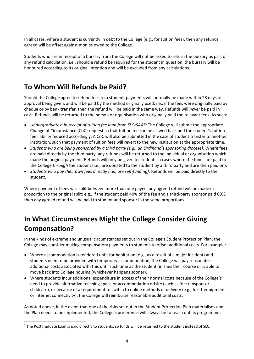In all cases, where a student is currently in debt to the College (e.g., for tuition fees), then any refunds agreed will be offset against monies owed to the College.

Students who are in receipt of a bursary from the College will not be asked to return the bursary as part of any refund calculation: i.e., should a refund be required for the student in question, the bursary will be honoured according to its original intention and will be excluded from any calculations.

## **To Whom Will Refunds be Paid?**

Should the College agree to refund fees to a student, payments will normally be made within 28 days of approval being given, and will be paid by the method originally used: i.e., if the fees were originally paid by cheque or by bank transfer, then the refund will be paid in the same way. Refunds will *never* be paid in cash. Refunds will be returned to the person or organisation who originally paid the relevant fees. As such:

- *Undergraduates<sup>1</sup> in receipt of tuition fee loan from SLC/SAAS:* The College will submit the appropriate Change of Circumstance (CoC) request so that tuition fee can be clawed back and the student's tuition fee liability reduced accordingly. A CoC will also be submitted in the case of student transfer to another institution, such that payment of tuition fees will revert to the new institution at the appropriate time.
- *Students who are being sponsored by a third party (e.g., an Ordinand's sponsoring diocese):* Where fees are paid directly by the third party, any refunds will be returned to the individual or organisation which made the original payment. Refunds will only be given to students in cases where the funds are paid to the College *through* the student (i.e., are donated to the student by a third party and are then paid on).
- *Students who pay their own fees directly (i.e., are self-funding):* Refunds will be paid directly to the student.

Where payment of fees was split between more than one payee, any agreed refund will be made in proportion to the original split: e.g., if the student paid 40% of the fee and a third-party sponsor paid 60%, then any agreed refund will be paid to student and sponsor in the same proportions.

## **In What Circumstances Might the College Consider Giving Compensation?**

In the kinds of extreme and unusual circumstances set out in the College's Student Protection Plan, the College may consider making compensatory payments to students to offset additional costs. For example:

- Where accommodation is rendered unfit for habitation (e.g., as a result of a major incident) and students need to be provided with temporary accommodation, the College will pay reasonable additional costs associated with this until such time as the student finishes their course or is able to move back into College housing (whichever happens sooner).
- Where students incur additional expenditure in excess of their normal costs because of the College's need to provide alternative teaching space or accommodation offsite (such as for transport or childcare), or because of a requirement to switch to online methods of delivery (e.g., for IT equipment or internet connectivity), the College will reimburse reasonable additional costs.

As noted above, in the event that one of the risks set out in the Student Protection Plan materialises and the Plan needs to be implemented, the College's preference will always be to teach out its programmes.

<sup>&</sup>lt;sup>1</sup> The Postgraduate Loan is paid directly to students, so funds will be returned to the student instead of SLC.